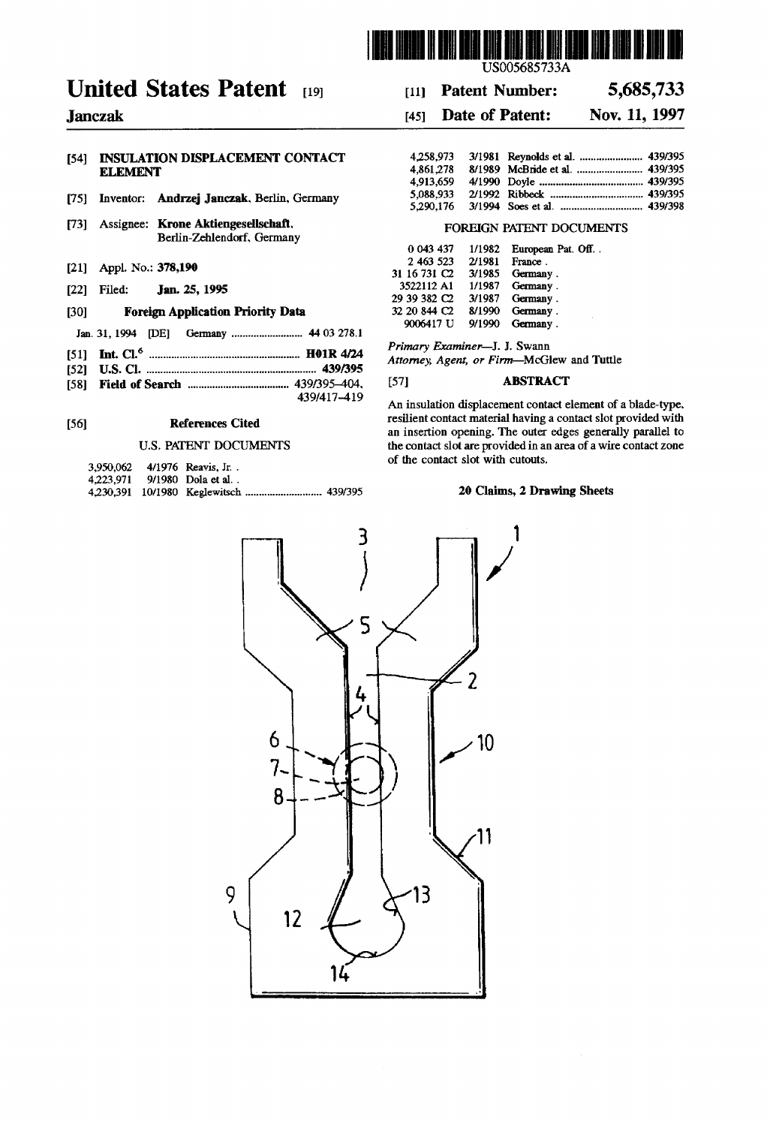

# United States Patent [19] [11] Patent Number: 5,685,733

# [54] INSULATION DISPLACEMENT CONTACT ELEMENT

- [75] Inventor: Andrzej Janczak, Berlin, Germany
- [73] Assignee: Krone Aktiengesellschaft. FOREIGN PATENT DOCUMENTS Berlin-Zehlendorf. Germany
- 
- [22] Filed: **Jan. 25, 1995**
- 
- 
- 
- 
- [58] Field of Search ................................... .. 439/395-404. [57] ABSTRACT

|  | 3.950.062 4/1976 Reavis, Jr. |  |
|--|------------------------------|--|
|  | 4.223.971 9/1980 Dola et al  |  |
|  |                              |  |

# Janczak [45] Date of Patent: Nov. 11, 1997

| INSULATION DISPLACEMENT CONTACT                    |  |  |
|----------------------------------------------------|--|--|
| ELEMENT                                            |  |  |
|                                                    |  |  |
| Inventor: <b>Andrzej Janczak</b> , Berlin, Germany |  |  |
|                                                    |  |  |

|                                                  |                    |                      |                              |        | 0 043 437 1/1982 European Pat. Off |
|--------------------------------------------------|--------------------|----------------------|------------------------------|--------|------------------------------------|
| Appl. No.: 378,190<br><b>1211</b>                |                    |                      | 2 463 523                    | 2/1981 | France.                            |
|                                                  |                    |                      | 31 16 731 C2 3/1985 Germany. |        |                                    |
| 1221<br>Filed:                                   |                    | <b>Jan. 25, 1995</b> | 3522112 A1 1/1987 Germany.   |        |                                    |
|                                                  |                    |                      | 29 39 382 C2 3/1987 Germany. |        |                                    |
| <b>Foreign Application Priority Data</b><br>[30] |                    |                      | 32 20 844 C2 8/1990 Germany. |        |                                    |
|                                                  |                    |                      | 9006417 U                    | 9/1990 | Germany.                           |
|                                                  | Jan. 31, 1994 [DE] |                      |                              |        |                                    |

Primary Examiner—J. J. Swann [51] 1111. C1.6 ..................................................... .. H01R 4/24 . [52] US' Cl. 439/395 Attorney, Agent, or F1rm—MCGleW and Tuttle

An insulation displacement contact element of a blade-type.<br>resilient contact material having a contact slot provided with [56] References Cited resilient contact material having a contact slot provided with an insertion opening. The outer edges generally parallel to<br>U.S. PATENT DOCUMENTS the contact slot are provided in an area of a wire cont the contact slot are provided in an area of a wire contact zone of the contact slot with cutouts.

## 4,35 100,391 200,391 200,391 200,391 20 Claims, 2 Drawing Sheets

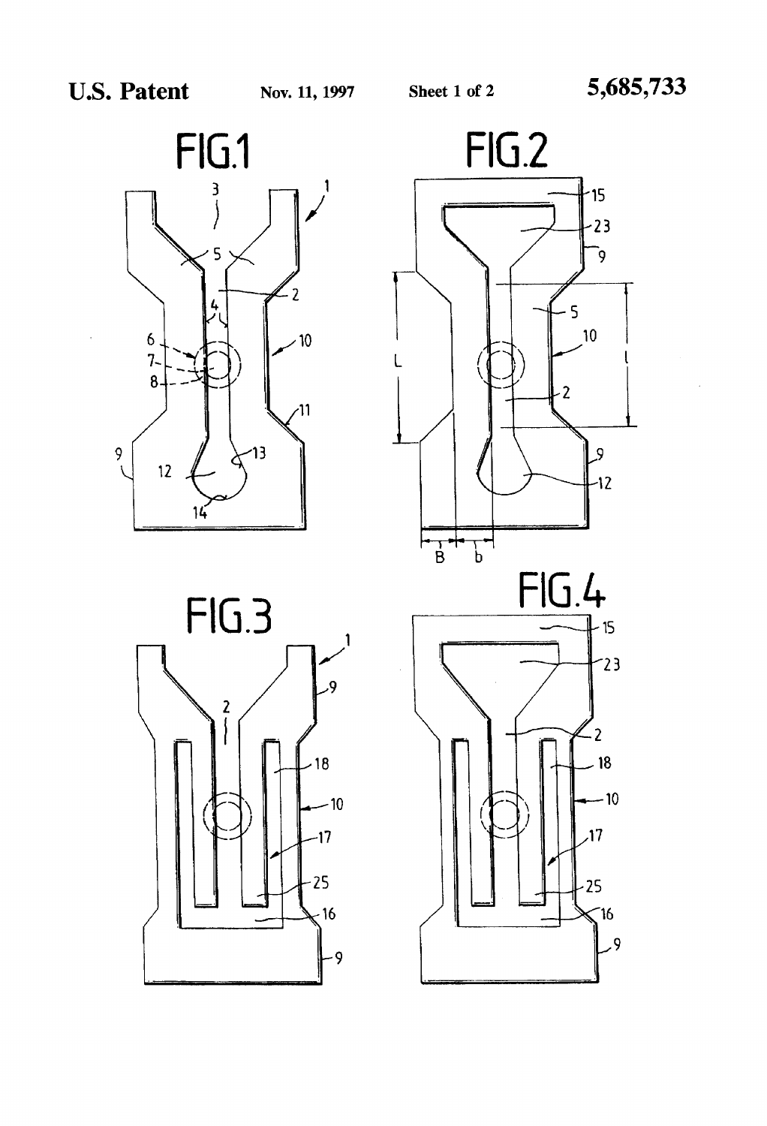



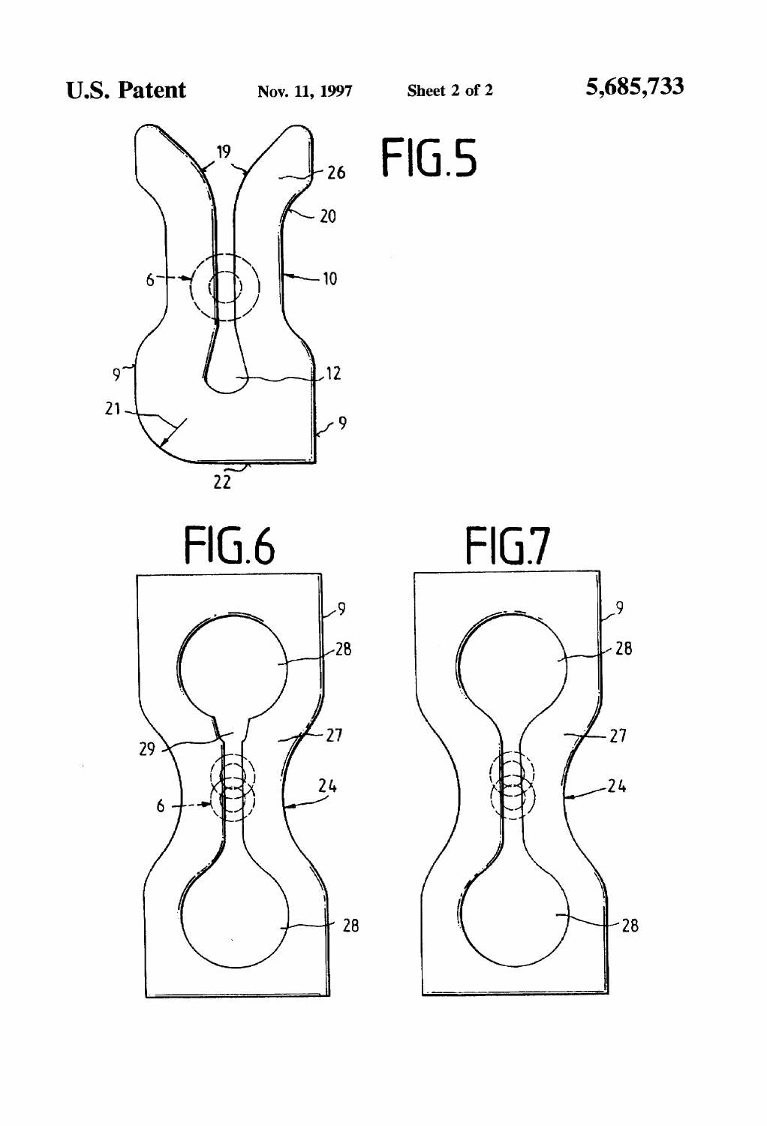$FIG.5$ 







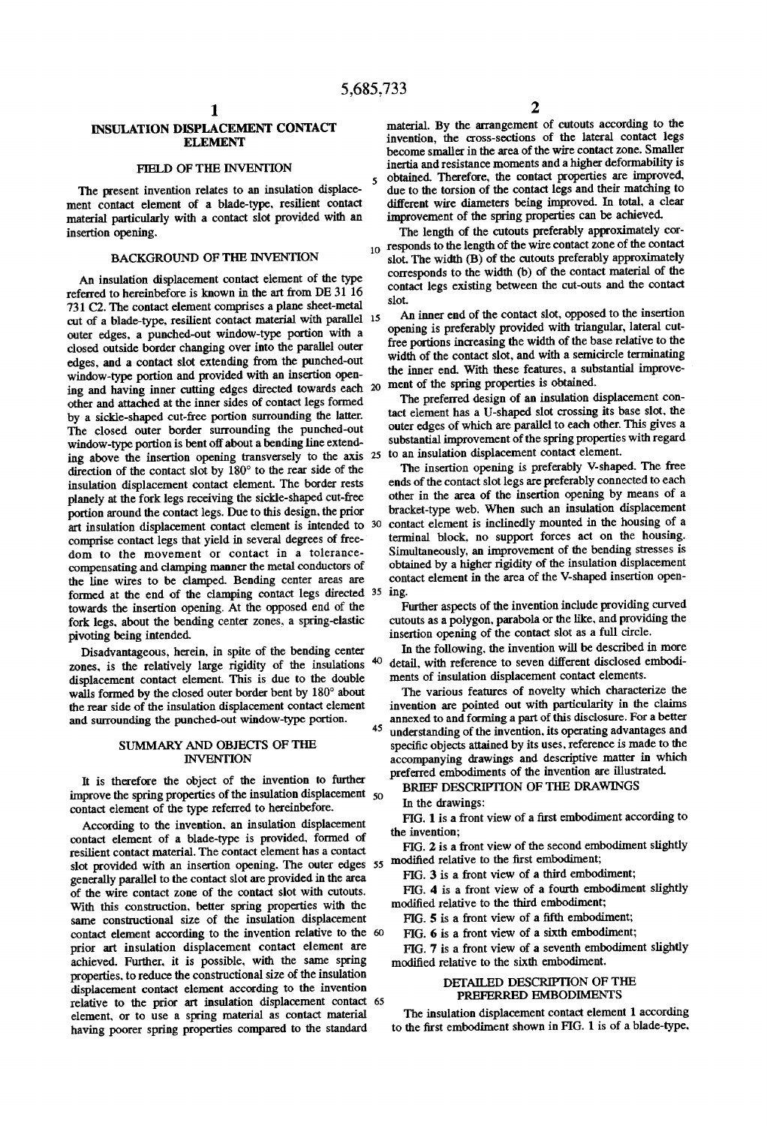# INSULATION DISPLACEMENT CONTACT ELENIENT

### FIELD OF THE INVENTION

The present invention relates to an insulation displace ment contact element of a blade-type. resilient contact material particularly with a contact slot provided with an insertion opening.

# BACKGROUND OF THE INVENTION

An insulation displacement contact element of the type referred to hereinbefore is known in the art from DE 31 16 731 C2. The contact element comprises a plane sheet-metal cut of a blade-type. resilient contact material with parallel 15 outer edges. a punched-out window-type portion with a closed outside border changing over into the parallel outer edges. and a contact slot extending from the punched-out window-type portion and provided with an insertion opening and having inner cutting edges directed towards each 20 other and attached at the inner sides of contact legs formed by a sickle-shaped cut-free portion surrounding the latter. The closed outer border surrounding the punched-out window-type portion is bent off about a bending line extend ing above the insertion opening transversely to the axis 25 direction of the contact slot by 180° to the rear side of the insulation displacement contact element. The border rests planely at the fork legs receiving the sickle-shaped cut-free portion around the contact legs. Due to this design. the prior art insulation displacement contact element is intended to 30 comprise contact legs that yield in several degrees of free dom to the movement or contact in a tolerance compensating and clamping manner the metal conductors of the line wires to be clamped. Bending center areas are formed at the end of the clamping contact legs directed 35 ing. towards the insertion opening. At the opposed end of the fork legs. about the bending center zones. a spring-elastic pivoting being intended.

Disadvantageous. herein. in spite of the bending center zones, is the relatively large rigidity of the insulations <sup>40</sup> displacement contact element. This is due to the double walls formed by the closed outer border bent by 180° about the rear side of the insulation displacement contact element and surrounding the punched-out window-type portion.

## SUMMARY AND OBJECTS OF THE INVENTION

It is therefore the object of the invention to further improve the spring properties of the insulation displacement 50 contact element of the type referred to hereinbefore.

According to the invention. an insulation displacement contact element of a blade-type is provided. formed of resilient contact material. The contact element has a contact slot provided with an insertion opening. The outer edges  $55 \mod 2$  relative to the first embodiment; generally parallel to the contact slot are provided in the area of the wire contact zone of the contact slot with cutouts.<br>With this construction, better spring properties with the same constructional size of the insulation displacement contact element according to the invention relative to the prior art insulation displacement contact element are achieved. Further. it is possible. with the same spring properties. to reduce the constructional size of the insulation displacement contact element according to the invention relative to the prior art insulation displacement contact 65 element. or to use a spring material as contact material having poorer spring properties compared to the standard

material. By the arrangement of cutouts according to the invention, the cross-sections of the lateral contact legs become smaller in the area of the wire contact zone. Smaller inertia and resistance moments and a higher deformability is obtained. Therefore, the contact properties are improved, due to the torsion of the contact legs and their matching to different wire diameters being improved. In total. a clear improvement of the spring properties can be achieved.

 $_{10}$  responds to the length of the wire contact zone of the contact The length of the cutouts preferably approximately cor slot. The width (B) of the cutouts preferably approximately corresponds to the width (b) of the contact material of the contact legs existing between the cut-outs and the contact slot.

An inner end of the contact slot. opposed to the insertion opening is preferably provided with triangular, lateral cut free portions increasing the width of the base relative to the width of the contact slot, and with a semicircle terminating the inner end. With these features. a substantial improve ment of the spring properties is obtained.

The preferred design of an insulation displacement con tact element has a U-shaped slot crossing its base slot. the outer edges of which are parallel to each other. This gives a substantial improvement of the spring properties with regard to an insulation displacement contact element.

The insertion opening is preferably V-shaped. The free ends of the contact slot legs are preferably connected to each other in the area of the insertion opening by means of a bracket-type web. When such an insulation displacement contact element is inclinedly mounted in the housing of a terminal block. no support forces act on the housing. Simultaneously. an improvement of the bending stresses is obtained by a higher rigidity of the insulation displacement contact element in the area of the V-shaped insertion open

Further aspects of the invention include providing curved cutouts as a polygon. parabola or the like. and providing the insertion opening of the contact slot as a full circle.

In the following. the invention will be described in more detail. with reference to seven different disclosed embodi ments of insulation displacement contact elements.

The various features of novelty which characterize the invention are pointed out with particularity in the claims annexed to and forming a part of this disclosure. For a better 45 understanding of the invention. its operating advantages and specific objects attained by its uses, reference is made to the accompanying drawings and descriptive matter in which preferred embodiments of the invention are illustrated.

BRIEF DESCRIPTION OF THE DRAWINGS

In the drawings:

FIG. 1 is a front view of a first embodiment according to the invention;

FIG. 2 is a front view of the second embodiment slightly

FIG. 3 is a front view of a third embodiment;

FIG. 4 is a front view of a fourth embodiment slightly modified relative to the third embodiment;

 $FIG. 5$  is a front view of a fifth embodiment;

FIG. 6 is a front view of a sixth embodiment;

FIG. 7 is a front view of a seventh embodiment slightly modified relative to the sixth embodiment.

# DETAILED DESCRIPTION OF THE PREFERRED EMBODIMENTS

The insulation displacement contact element 1 according to the first embodiment shown in FIG. 1 is of a blade-type.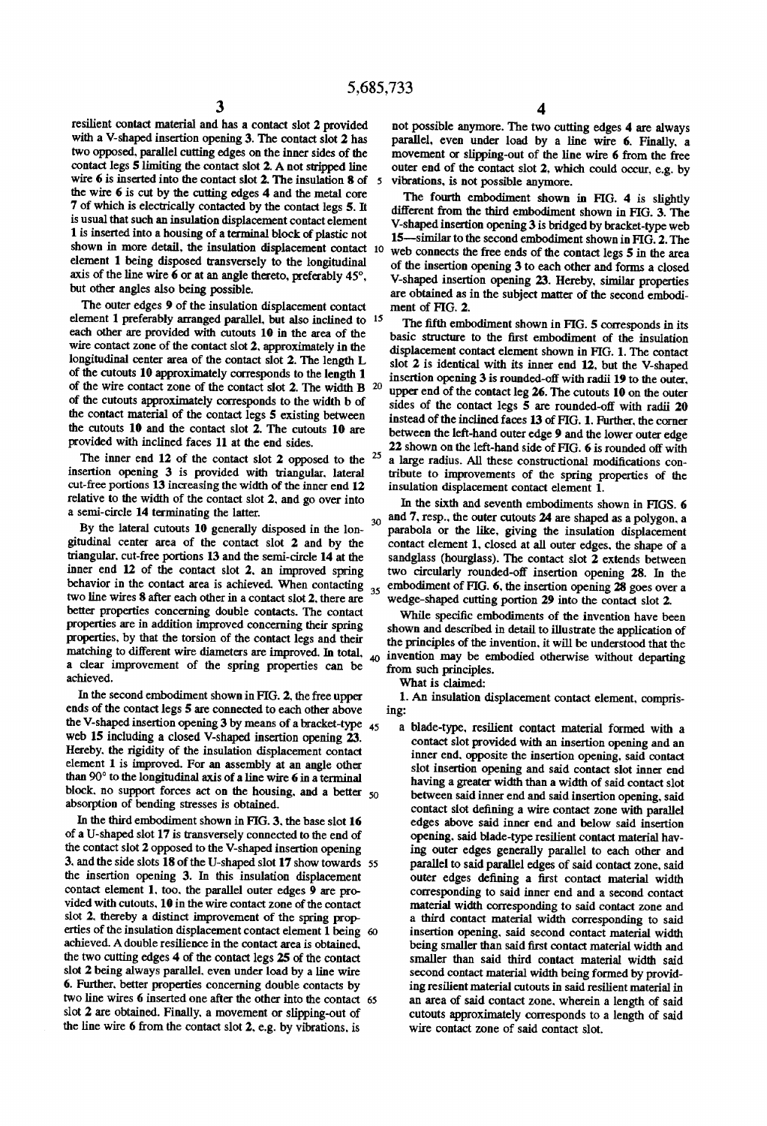resilient contact material and has a contact slot 2 provided with a V-shaped insertion opening 3. The contact slot 2 has two opposed, parallel cutting edges on the inner sides of the contact legs 5 limiting the contact slot 2. A not stripped line wire 6 is inserted into the contact slot 2. The insulation 8 of the wire 6 is cut by the cutting edges 4 and the metal core 7 of which is electrically contacted by the contact legs 5. It is usual that such an insulation displacement contact element 1 is inserted into a housing of a terminal block of plastic not shown in more detail, the insulation displacement contact 10 element 1 being disposed transversely to the longitudinal axis of the line wire 6 or at an angle thereto, preferably 45°, but other angles also being possible.

The outer edges 9 of the insulation displacement contact element 1 preferably arranged parallel. but also inclined to 15 each other are provided with cutouts 10 in the area of the wire contact zone of the contact slot 2, approximately in the longitudinal center area of the contact slot 2. The length L of the cutouts 10 approximately corresponds to the length 1 of the wire contact zone of the contact slot 2. The width B 20 of the cutouts approximately corresponds to the width b of the contact material of the contact legs 5 existing between the cutouts 10 and the contact slot 2. The cutouts 10 are provided with inclined faces 11 at the end sides.

The inner end 12 of the contact slot 2 opposed to the <sup>25</sup> insertion opening 3 is provided with triangular. lateral cut-free portions 13 increasing the width of the inner end 12 relative to the width of the contact slot 2. and go over into a semi-circle 14 terminating the latter.

By the lateral cutouts 10 generally disposed in the lon gitudinal center area of the contact slot 2 and by the triangular. cut-free portions 13 and the semi-circle 14 at the inner end 12 of the contact slot 2. an improved spring behavior in the contact area is achieved. When contacting  $_{35}$ two line wires 8 after each other in a contact slot 2. there are better properties concerning double contacts. The contact properties are in addition improved concerning their spring properties. by that the torsion of the contact legs and their a clear improvement of the spring properties can be achieved.

In the second embodiment shown in FIG. 2. the free upper ends of the contact legs 5 are connected to each other above the V-shaped insertion opening 3 by means of a bracket-type 45 web 15 including a closed V-shaped insertion opening 23. Hereby. the rigidity of the insulation displacement contact element 1 is improved. For an assembly at an angle other than 90° to the longitudinal axis of a line wire 6 in a terminal block, no support forces act on the housing, and a better  $50$ absorption of bending stresses is obtained.

In the third embodiment shown in FIG. 3. the base slot 16 of a U-shaped slot 17 is transversely connected to the end of the contact slot 2 opposed to the V-shaped insertion opening 3. and the side slots 18 of the U-shaped slot 17 show towards 55 the insertion opening 3. In this insulation displacement contact element 1. too. the parallel outer edges 9 are pro vided with cutouts. 10 in the wire contact zone of the contact slot 2. thereby a distinct improvement of the spring properties of the insulation displacement contact element 1 being achieved. A double resilience in the contact area is obtained. the two cutting edges 4 of the contact legs 25 of the contact slot 2 being always parallel. even under load by a line wire 6. Further. better properties concerning double contacts by two line wires 6 inserted one after the other into the contact slot 2 are obtained. Finally. a movement or slipping-out of the line wire 6 from the contact slot 2. e.g. by vibrations. is

not possible anymore. The two cutting edges 4 are always parallel. even under load by a line wire 6. Finally. a movement or slipping-out of the line wire 6 from the free outer end of the contact slot 2. which could occur. e.g. by vibrations, is not possible anymore.

The fourth embodiment shown in FIG. 4 is slightly different from the third embodiment shown in FIG. 3. The V-shaped insertion opening 3 is bridged by bracket-type web 15-similar to the second embodiment shown in FIG. 2. The web connects the free ends of the contact legs 5 in the area of the insertion opening 3 to each other and forms a closed V-shaped insertion opening 23. Hereby, similar properties are obtained as in the subject matter of the second embodiment of FIG. 2.

The fifth embodiment shown in FIG. 5 corresponds in its basic structure to the first embodiment of the insulation displacement contact element shown in FIG. 1. The contact slot 2 is identical with its inner end 12. but the V-shaped insertion opening 3 is rounded-off with radii 19 to the outer. upper end of the contact leg 26. The cutouts 10 on the outer sides of the contact legs 5 are rounded-off with radii 20 instead of the inclined faces 13 of FIG. 1. Further. the corner between the left-hand outer edge 9 and the lower outer edge  $22$  shown on the left-hand side of FIG. 6 is rounded off with a large radius. All these constructional modifications contribute to improvements of the spring properties of the

30 insulation displacement contact element 1. In the sixth and seventh embodiments shown in FIGS. 6 and 7. resp.. the outer cutouts 24 are shaped as a polygon. a parabola or the like, giving the insulation displacement contact element 1. closed at all outer edges. the shape of a sandglass (hourglass). The contact slot 2 extends between two circularly rounded-off insertion opening 28. In the embodiment of FIG. 6. the insertion opening 28 goes over a wedge-shaped cutting portion 29 into the contact slot 2.

matching to different wire diameters are improved. In total,  $\mu_0$  invention may be embodied otherwise without departing While specific embodiments of the invention have been shown and described in detail to illustrate the application of the principles of the invention. it will be understood that the from such principles.

What is claimed:

1. An insulation displacement contact element. compris ing:

a blade-type. resilient contact material formed with a contact slot provided with an insertion opening and an inner end. opposite the insertion opening. said contact slot insertion opening and said contact slot inner end having a greater width than a width of said contact slot between said inner end and said insertion opening. said contact slot defining a wire contact zone with parallel edges above said inner end and below said insertion opening. said blade-type resilient contact material hav ing outer edges generally parallel to each other and parallel to said parallel edges of said contact zone. said outer edges defining a first contact material width corresponding to said inner end and a second contact material width corresponding to said contact zone and a third contact material width corresponding to said insertion opening. said second contact material width being smaller than said first contact material width and smaller than said third contact material width said second contact material width being formed by provid ing resilient material cutouts in said resilient material in an area of said contact zone. wherein a length of said cutouts approximately corresponds to a length of said wire contact zone of said contact slot.